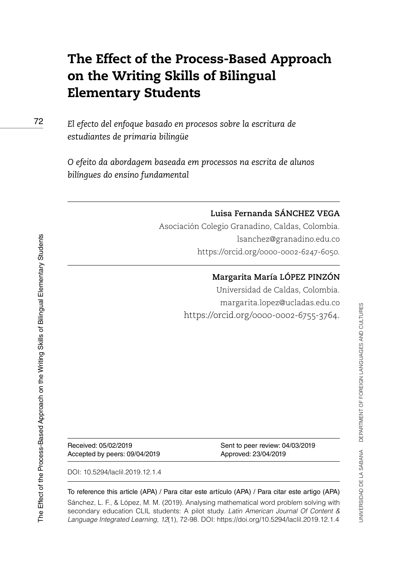# The Effect of the Process-Based Approach on the Writing Skills of Bilingual Elementary Students

*El efecto del enfoque basado en procesos sobre la escritura de estudiantes de primaria bilingüe*

*O efeito da abordagem baseada em processos na escrita de alunos bilíngues do ensino fundamental*

#### **Luisa Fernanda SÁNCHEZ VEGA**

Asociación Colegio Granadino, Caldas, Colombia. [lsanchez@granadino.edu.co](mailto:lsanchez@granadino.edu.co) <https://orcid.org/0000-0002-6247-6050>.

#### **Margarita María LÓPEZ PINZÓN**

Universidad de Caldas, Colombia. [margarita.lopez@ucladas.edu.co](mailto:margarita.lopez@ucladas.edu.co) [https://orcid.org/0000-0002-6755-3764.](https://orcid.org/0000-0002-6755-3764)

Accepted by peers: 09/04/2019 Approved: 23/04/2019

Received: 05/02/2019 Sent to peer review: 04/03/2019

DOI: [10.5294/laclil.2019.12.1.4](https://doi.org/10.5294/laclil.2019.12.1.4)

To reference this article (APA) / Para citar este artículo (APA) / Para citar este artigo (APA)

[Sánchez, L. F.,](https://orcid.org/0000-0002-6247-6050) & [López, M. M.](https://orcid.org/0000-0002-6755-3764) (2019). Analysing mathematical word problem solving with secondary education CLIL students: A pilot study. *Latin American Journal Of Content & Language Integrated Learning, 12*(1), 72-98. DOI:<https://doi.org/10.5294/laclil.2019.12.1.4>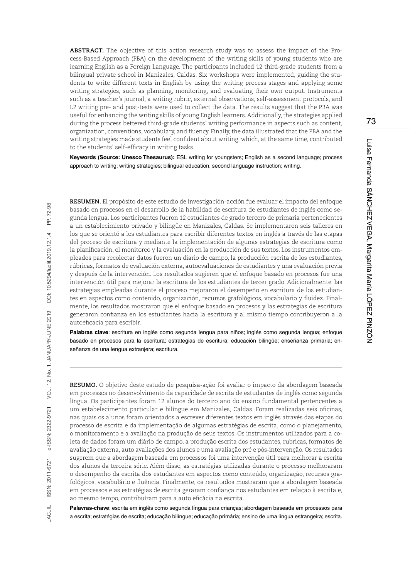**ABSTRACT.** The objective of this action research study was to assess the impact of the Process-Based Approach (PBA) on the development of the writing skills of young students who are learning English as a Foreign Language. The participants included 12 third-grade students from a bilingual private school in Manizales, Caldas. Six workshops were implemented, guiding the students to write different texts in English by using the writing process stages and applying some writing strategies, such as planning, monitoring, and evaluating their own output. Instruments such as a teacher's journal, a writing rubric, external observations, self-assessment protocols, and L2 writing pre- and post-tests were used to collect the data. The results suggest that the PBA was useful for enhancing the writing skills of young English learners. Additionally, the strategies applied during the process bettered third-grade students' writing performance in aspects such as content, organization, conventions, vocabulary, and fluency. Finally, the data illustrated that the PBA and the writing strategies made students feel confident about writing, which, at the same time, contributed to the students' self-efficacy in writing tasks.

**Keywords (Source: Unesco Thesaurus):** ESL writing for youngsters; English as a second language; process approach to writing; writing strategies; bilingual education; second language instruction; writing.

**RESUMEN.** El propósito de este estudio de investigación-acción fue evaluar el impacto del enfoque basado en procesos en el desarrollo de la habilidad de escritura de estudiantes de inglés como segunda lengua. Los participantes fueron 12 estudiantes de grado tercero de primaria pertenecientes a un establecimiento privado y bilingüe en Manizales, Caldas. Se implementaron seis talleres en los que se orientó a los estudiantes para escribir diferentes textos en inglés a través de las etapas del proceso de escritura y mediante la implementación de algunas estrategias de escritura como la planificación, el monitoreo y la evaluación en la producción de sus textos. Los instrumentos empleados para recolectar datos fueron un diario de campo, la producción escrita de los estudiantes, rúbricas, formatos de evaluación externa, autoevaluaciones de estudiantes y una evaluación previa y después de la intervención. Los resultados sugieren que el enfoque basado en procesos fue una intervención útil para mejorar la escritura de los estudiantes de tercer grado. Adicionalmente, las estrategias empleadas durante el proceso mejoraron el desempeño en escritura de los estudiantes en aspectos como contenido, organización, recursos grafológicos, vocabulario y fluidez. Finalmente, los resultados mostraron que el enfoque basado en procesos y las estrategias de escritura generaron confianza en los estudiantes hacia la escritura y al mismo tiempo contribuyeron a la autoeficacia para escribir.

**Palabras clave**: escritura en inglés como segunda lengua para niños; inglés como segunda lengua; enfoque basado en procesos para la escritura; estrategias de escritura; educación bilingüe; enseñanza primaria; enseñanza de una lengua extranjera; escritura.

**RESUMO.** O objetivo deste estudo de pesquisa-ação foi avaliar o impacto da abordagem baseada em processos no desenvolvimento da capacidade de escrita de estudantes de inglês como segunda língua. Os participantes foram 12 alunos do terceiro ano do ensino fundamental pertencentes a um estabelecimento particular e bilíngue em Manizales, Caldas. Foram realizadas seis oficinas, nas quais os alunos foram orientados a escrever diferentes textos em inglês através das etapas do processo de escrita e da implementação de algumas estratégias de escrita, como o planejamento, o monitoramento e a avaliação na produção de seus textos. Os instrumentos utilizados para a coleta de dados foram um diário de campo, a produção escrita dos estudantes, rubricas, formatos de avaliação externa, auto avaliações dos alunos e uma avaliação pré e pós-intervenção. Os resultados sugerem que a abordagem baseada em processos foi uma intervenção útil para melhorar a escrita dos alunos da terceira série. Além disso, as estratégias utilizadas durante o processo melhoraram o desempenho da escrita dos estudantes em aspectos como conteúdo, organização, recursos grafológicos, vocabulário e fluência. Finalmente, os resultados mostraram que a abordagem baseada em processos e as estratégias de escrita geraram confiança nos estudantes em relação à escrita e, ao mesmo tempo, contribuíram para a auto eficácia na escrita.

**Palavras-chave**: escrita em inglês como segunda língua para crianças; abordagem baseada em processos para a escrita; estratégias de escrita; educação bilíngue; educação primária; ensino de uma língua estrangeira; escrita.

73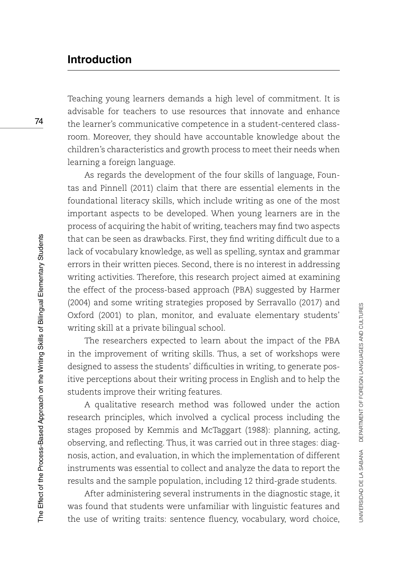# **Introduction**

Teaching young learners demands a high level of commitment. It is advisable for teachers to use resources that innovate and enhance the learner's communicative competence in a student-centered classroom. Moreover, they should have accountable knowledge about the children's characteristics and growth process to meet their needs when learning a foreign language.

As regards the development of the four skills of language, Fountas and Pinnell (2011) claim that there are essential elements in the foundational literacy skills, which include writing as one of the most important aspects to be developed. When young learners are in the process of acquiring the habit of writing, teachers may find two aspects that can be seen as drawbacks. First, they find writing difficult due to a lack of vocabulary knowledge, as well as spelling, syntax and grammar errors in their written pieces. Second, there is no interest in addressing writing activities. Therefore, this research project aimed at examining the effect of the process-based approach (PBA) suggested by Harmer (2004) and some writing strategies proposed by Serravallo (2017) and Oxford (2001) to plan, monitor, and evaluate elementary students' writing skill at a private bilingual school.

The researchers expected to learn about the impact of the PBA in the improvement of writing skills. Thus, a set of workshops were designed to assess the students' difficulties in writing, to generate positive perceptions about their writing process in English and to help the students improve their writing features.

A qualitative research method was followed under the action research principles, which involved a cyclical process including the stages proposed by Kemmis and McTaggart (1988): planning, acting, observing, and reflecting. Thus, it was carried out in three stages: diagnosis, action, and evaluation, in which the implementation of different instruments was essential to collect and analyze the data to report the results and the sample population, including 12 third-grade students.

After administering several instruments in the diagnostic stage, it was found that students were unfamiliar with linguistic features and the use of writing traits: sentence fluency, vocabulary, word choice,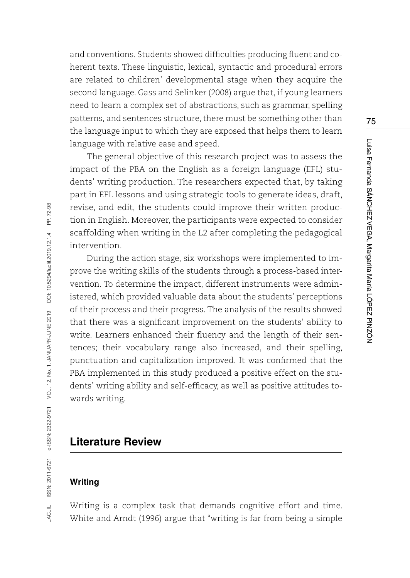and conventions. Students showed difficulties producing fluent and coherent texts. These linguistic, lexical, syntactic and procedural errors are related to children' developmental stage when they acquire the second language. Gass and Selinker (2008) argue that, if young learners need to learn a complex set of abstractions, such as grammar, spelling patterns, and sentences structure, there must be something other than the language input to which they are exposed that helps them to learn language with relative ease and speed.

The general objective of this research project was to assess the impact of the PBA on the English as a foreign language (EFL) students' writing production. The researchers expected that, by taking part in EFL lessons and using strategic tools to generate ideas, draft, revise, and edit, the students could improve their written production in English. Moreover, the participants were expected to consider scaffolding when writing in the L2 after completing the pedagogical intervention.

During the action stage, six workshops were implemented to improve the writing skills of the students through a process-based intervention. To determine the impact, different instruments were administered, which provided valuable data about the students' perceptions of their process and their progress. The analysis of the results showed that there was a significant improvement on the students' ability to write. Learners enhanced their fluency and the length of their sentences; their vocabulary range also increased, and their spelling, punctuation and capitalization improved. It was confirmed that the PBA implemented in this study produced a positive effect on the students' writing ability and self-efficacy, as well as positive attitudes towards writing.

### **Literature Review**

### **Writing**

Writing is a complex task that demands cognitive effort and time. White and Arndt (1996) argue that "writing is far from being a simple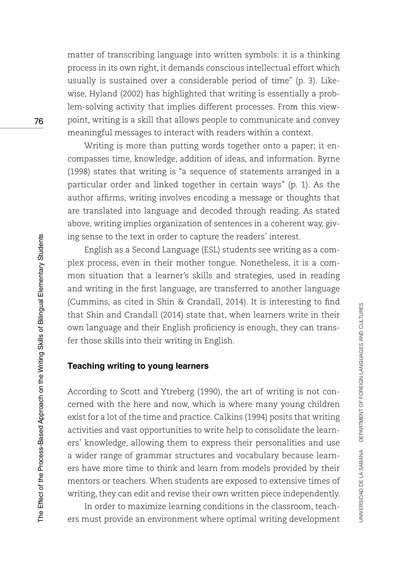matter of transcribing language into written symbols: it is a thinking process in its own right, it demands conscious intellectual effort which usually is sustained over a considerable period of time" (p. 3). Likewise, Hyland (2002) has highlighted that writing is essentially a problem-solving activity that implies different processes. From this viewpoint, writing is a skill that allows people to communicate and convey meaningful messages to interact with readers within a context.

Writing is more than putting words together onto a paper; it encompasses time, knowledge, addition of ideas, and information. Byrne (1998) states that writing is "a sequence of statements arranged in a particular order and linked together in certain ways" (p. 1). As the author affirms, writing involves encoding a message or thoughts that are translated into language and decoded through reading. As stated above, writing implies organization of sentences in a coherent way, giving sense to the text in order to capture the readers' interest.

English as a Second Language (ESL) students see writing as a complex process, even in their mother tongue. Nonetheless, it is a common situation that a learner's skills and strategies, used in reading and writing in the first language, are transferred to another language (Cummins, as cited in Shin & Crandall, 2014). It is interesting to find that Shin and Crandall (2014) state that, when learners write in their own language and their English proficiency is enough, they can transfer those skills into their writing in English.

### **Teaching writing to young learners**

According to Scott and Ytreberg (1990), the art of writing is not concerned with the here and now, which is where many young children exist for a lot of the time and practice. Calkins (1994) posits that writing activities and vast opportunities to write help to consolidate the learners' knowledge, allowing them to express their personalities and use a wider range of grammar structures and vocabulary because learners have more time to think and learn from models provided by their mentors or teachers. When students are exposed to extensive times of writing, they can edit and revise their own written piece independently.

In order to maximize learning conditions in the classroom, teachers must provide an environment where optimal writing development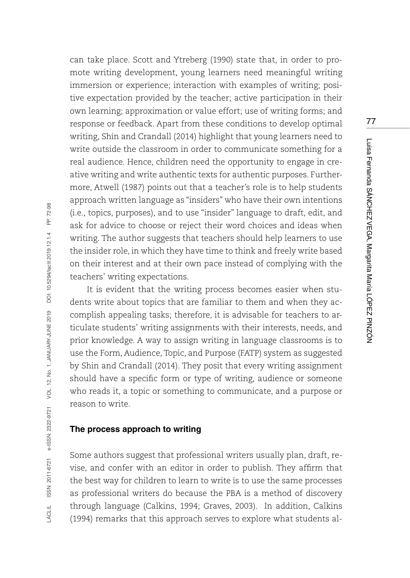can take place. Scott and Ytreberg (1990) state that, in order to promote writing development, young learners need meaningful writing immersion or experience; interaction with examples of writing; positive expectation provided by the teacher; active participation in their own learning; approximation or value effort; use of writing forms; and response or feedback. Apart from these conditions to develop optimal writing, Shin and Crandall (2014) highlight that young learners need to write outside the classroom in order to communicate something for a real audience. Hence, children need the opportunity to engage in creative writing and write authentic texts for authentic purposes. Furthermore, Atwell (1987) points out that a teacher's role is to help students approach written language as "insiders" who have their own intentions (i.e., topics, purposes), and to use "insider" language to draft, edit, and ask for advice to choose or reject their word choices and ideas when writing. The author suggests that teachers should help learners to use the insider role, in which they have time to think and freely write based on their interest and at their own pace instead of complying with the teachers' writing expectations.

It is evident that the writing process becomes easier when students write about topics that are familiar to them and when they accomplish appealing tasks; therefore, it is advisable for teachers to articulate students' writing assignments with their interests, needs, and prior knowledge. A way to assign writing in language classrooms is to use the Form, Audience, Topic, and Purpose (FATP) system as suggested by Shin and Crandall (2014). They posit that every writing assignment should have a specific form or type of writing, audience or someone who reads it, a topic or something to communicate, and a purpose or reason to write.

#### **The process approach to writing**

Some authors suggest that professional writers usually plan, draft, revise, and confer with an editor in order to publish. They affirm that the best way for children to learn to write is to use the same processes as professional writers do because the PBA is a method of discovery through language (Calkins, 1994; Graves, 2003). In addition, Calkins (1994) remarks that this approach serves to explore what students al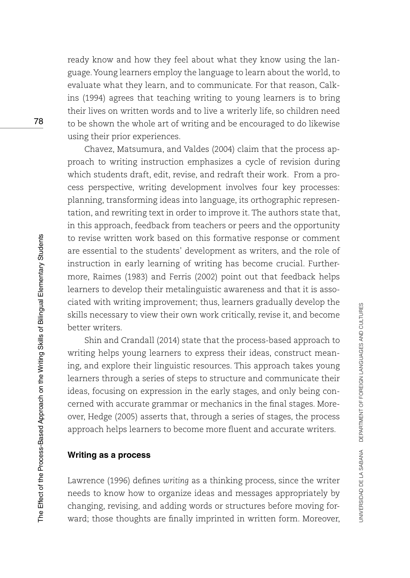ready know and how they feel about what they know using the language. Young learners employ the language to learn about the world, to evaluate what they learn, and to communicate. For that reason, Calkins (1994) agrees that teaching writing to young learners is to bring their lives on written words and to live a writerly life, so children need to be shown the whole art of writing and be encouraged to do likewise using their prior experiences.

Chavez, Matsumura, and Valdes (2004) claim that the process approach to writing instruction emphasizes a cycle of revision during which students draft, edit, revise, and redraft their work. From a process perspective, writing development involves four key processes: planning, transforming ideas into language, its orthographic representation, and rewriting text in order to improve it. The authors state that, in this approach, feedback from teachers or peers and the opportunity to revise written work based on this formative response or comment are essential to the students' development as writers, and the role of instruction in early learning of writing has become crucial. Furthermore, Raimes (1983) and Ferris (2002) point out that feedback helps learners to develop their metalinguistic awareness and that it is associated with writing improvement; thus, learners gradually develop the skills necessary to view their own work critically, revise it, and become better writers.

Shin and Crandall (2014) state that the process-based approach to writing helps young learners to express their ideas, construct meaning, and explore their linguistic resources. This approach takes young learners through a series of steps to structure and communicate their ideas, focusing on expression in the early stages, and only being concerned with accurate grammar or mechanics in the final stages. Moreover, Hedge (2005) asserts that, through a series of stages, the process approach helps learners to become more fluent and accurate writers.

#### **Writing as a process**

Lawrence (1996) defines *writing* as a thinking process, since the writer needs to know how to organize ideas and messages appropriately by changing, revising, and adding words or structures before moving forward; those thoughts are finally imprinted in written form. Moreover,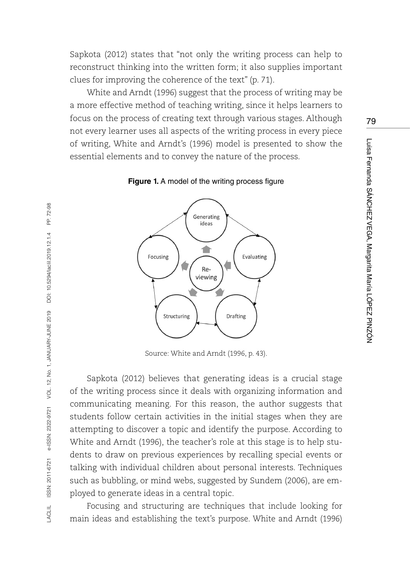Sapkota (2012) states that "not only the writing process can help to reconstruct thinking into the written form; it also supplies important clues for improving the coherence of the text" (p. 71).

White and Arndt (1996) suggest that the process of writing may be a more effective method of teaching writing, since it helps learners to focus on the process of creating text through various stages. Although not every learner uses all aspects of the writing process in every piece of writing, White and Arndt's (1996) model is presented to show the essential elements and to convey the nature of the process.



**Figure 1.** A model of the writing process figure

Source: White and Arndt (1996, p. 43).

Sapkota (2012) believes that generating ideas is a crucial stage of the writing process since it deals with organizing information and communicating meaning. For this reason, the author suggests that students follow certain activities in the initial stages when they are attempting to discover a topic and identify the purpose. According to White and Arndt (1996), the teacher's role at this stage is to help students to draw on previous experiences by recalling special events or talking with individual children about personal interests. Techniques such as bubbling, or mind webs, suggested by Sundem (2006), are employed to generate ideas in a central topic.

Focusing and structuring are techniques that include looking for main ideas and establishing the text's purpose. White and Arndt (1996)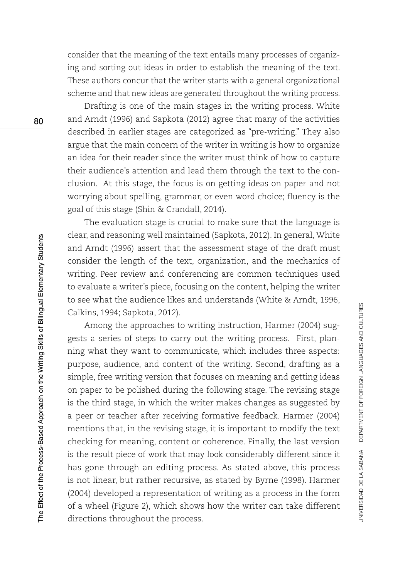consider that the meaning of the text entails many processes of organizing and sorting out ideas in order to establish the meaning of the text. These authors concur that the writer starts with a general organizational scheme and that new ideas are generated throughout the writing process.

Drafting is one of the main stages in the writing process. White and Arndt (1996) and Sapkota (2012) agree that many of the activities described in earlier stages are categorized as "pre-writing." They also argue that the main concern of the writer in writing is how to organize an idea for their reader since the writer must think of how to capture their audience's attention and lead them through the text to the conclusion. At this stage, the focus is on getting ideas on paper and not worrying about spelling, grammar, or even word choice; fluency is the goal of this stage (Shin & Crandall, 2014).

The evaluation stage is crucial to make sure that the language is clear, and reasoning well maintained (Sapkota, 2012). In general, White and Arndt (1996) assert that the assessment stage of the draft must consider the length of the text, organization, and the mechanics of writing. Peer review and conferencing are common techniques used to evaluate a writer's piece, focusing on the content, helping the writer to see what the audience likes and understands (White & Arndt, 1996, Calkins, 1994; Sapkota, 2012).

Among the approaches to writing instruction, Harmer (2004) suggests a series of steps to carry out the writing process. First, planning what they want to communicate, which includes three aspects: purpose, audience, and content of the writing. Second, drafting as a simple, free writing version that focuses on meaning and getting ideas on paper to be polished during the following stage. The revising stage is the third stage, in which the writer makes changes as suggested by a peer or teacher after receiving formative feedback. Harmer (2004) mentions that, in the revising stage, it is important to modify the text checking for meaning, content or coherence. Finally, the last version is the result piece of work that may look considerably different since it has gone through an editing process. As stated above, this process is not linear, but rather recursive, as stated by Byrne (1998). Harmer (2004) developed a representation of writing as a process in the form of a wheel (Figure 2), which shows how the writer can take different directions throughout the process.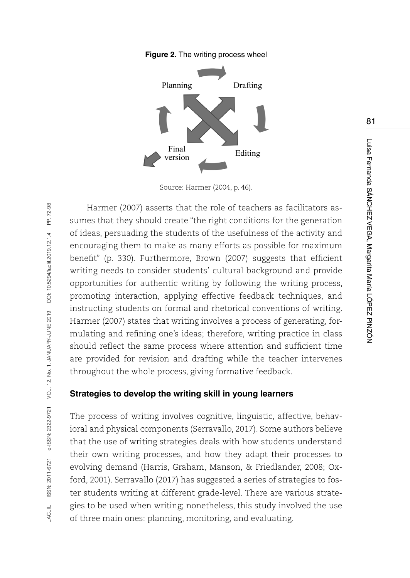



Source: Harmer (2004, p. 46).

Harmer (2007) asserts that the role of teachers as facilitators assumes that they should create "the right conditions for the generation of ideas, persuading the students of the usefulness of the activity and encouraging them to make as many efforts as possible for maximum benefit" (p. 330). Furthermore, Brown (2007) suggests that efficient writing needs to consider students' cultural background and provide opportunities for authentic writing by following the writing process, promoting interaction, applying effective feedback techniques, and instructing students on formal and rhetorical conventions of writing. Harmer (2007) states that writing involves a process of generating, formulating and refining one's ideas; therefore, writing practice in class should reflect the same process where attention and sufficient time are provided for revision and drafting while the teacher intervenes throughout the whole process, giving formative feedback.

### **Strategies to develop the writing skill in young learners**

The process of writing involves cognitive, linguistic, affective, behavioral and physical components (Serravallo, 2017). Some authors believe that the use of writing strategies deals with how students understand their own writing processes, and how they adapt their processes to evolving demand (Harris, Graham, Manson, & Friedlander, 2008; Oxford, 2001). Serravallo (2017) has suggested a series of strategies to foster students writing at different grade-level. There are various strategies to be used when writing; nonetheless, this study involved the use of three main ones: planning, monitoring, and evaluating.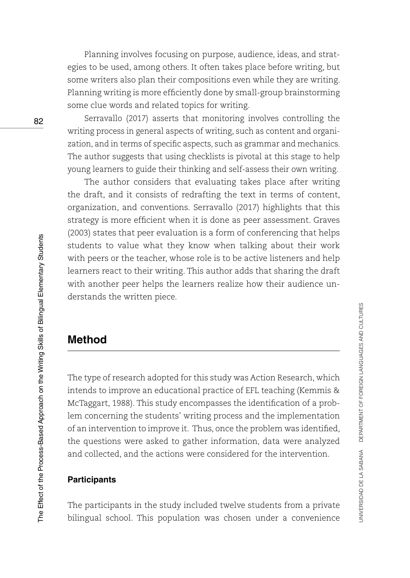Planning involves focusing on purpose, audience, ideas, and strategies to be used, among others. It often takes place before writing, but some writers also plan their compositions even while they are writing. Planning writing is more efficiently done by small-group brainstorming some clue words and related topics for writing.

Serravallo (2017) asserts that monitoring involves controlling the writing process in general aspects of writing, such as content and organization, and in terms of specific aspects, such as grammar and mechanics. The author suggests that using checklists is pivotal at this stage to help young learners to guide their thinking and self-assess their own writing.

The author considers that evaluating takes place after writing the draft, and it consists of redrafting the text in terms of content, organization, and conventions. Serravallo (2017) highlights that this strategy is more efficient when it is done as peer assessment. Graves (2003) states that peer evaluation is a form of conferencing that helps students to value what they know when talking about their work with peers or the teacher, whose role is to be active listeners and help learners react to their writing. This author adds that sharing the draft with another peer helps the learners realize how their audience understands the written piece.

# **Method**

The type of research adopted for this study was Action Research, which intends to improve an educational practice of EFL teaching (Kemmis & McTaggart, 1988). This study encompasses the identification of a problem concerning the students' writing process and the implementation of an intervention to improve it. Thus, once the problem was identified, the questions were asked to gather information, data were analyzed and collected, and the actions were considered for the intervention.

### **Participants**

The participants in the study included twelve students from a private bilingual school. This population was chosen under a convenience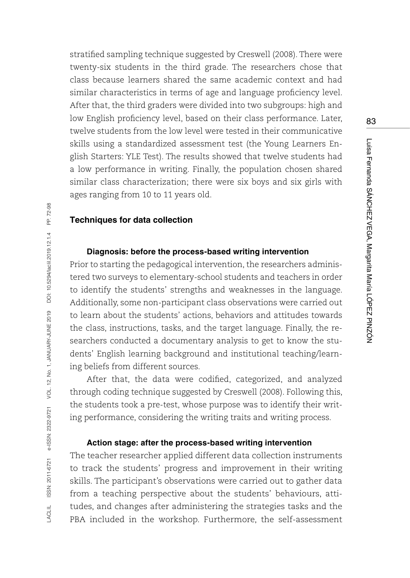stratified sampling technique suggested by Creswell (2008). There were twenty-six students in the third grade. The researchers chose that class because learners shared the same academic context and had similar characteristics in terms of age and language proficiency level. After that, the third graders were divided into two subgroups: high and low English proficiency level, based on their class performance. Later, twelve students from the low level were tested in their communicative skills using a standardized assessment test (the Young Learners English Starters: YLE Test). The results showed that twelve students had a low performance in writing. Finally, the population chosen shared similar class characterization; there were six boys and six girls with ages ranging from 10 to 11 years old.

#### **Techniques for data collection**

#### **Diagnosis: before the process-based writing intervention**

Prior to starting the pedagogical intervention, the researchers administered two surveys to elementary-school students and teachers in order to identify the students' strengths and weaknesses in the language. Additionally, some non-participant class observations were carried out to learn about the students' actions, behaviors and attitudes towards the class, instructions, tasks, and the target language. Finally, the researchers conducted a documentary analysis to get to know the students' English learning background and institutional teaching/learning beliefs from different sources.

After that, the data were codified, categorized, and analyzed through coding technique suggested by Creswell (2008). Following this, the students took a pre-test, whose purpose was to identify their writing performance, considering the writing traits and writing process.

#### **Action stage: after the process-based writing intervention**

The teacher researcher applied different data collection instruments to track the students' progress and improvement in their writing skills. The participant's observations were carried out to gather data from a teaching perspective about the students' behaviours, attitudes, and changes after administering the strategies tasks and the PBA included in the workshop. Furthermore, the self-assessment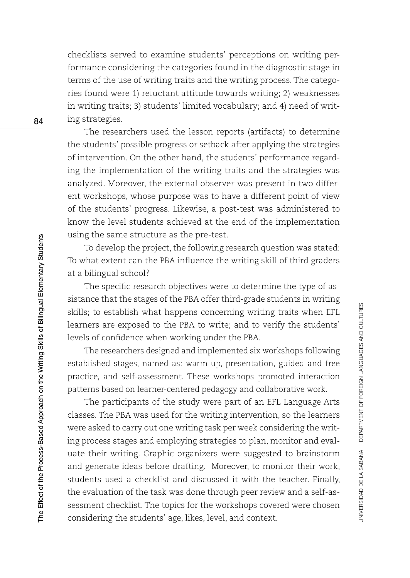checklists served to examine students' perceptions on writing performance considering the categories found in the diagnostic stage in terms of the use of writing traits and the writing process. The categories found were 1) reluctant attitude towards writing; 2) weaknesses in writing traits; 3) students' limited vocabulary; and 4) need of writing strategies.

The researchers used the lesson reports (artifacts) to determine the students' possible progress or setback after applying the strategies of intervention. On the other hand, the students' performance regarding the implementation of the writing traits and the strategies was analyzed. Moreover, the external observer was present in two different workshops, whose purpose was to have a different point of view of the students' progress. Likewise, a post-test was administered to know the level students achieved at the end of the implementation using the same structure as the pre-test.

To develop the project, the following research question was stated: To what extent can the PBA influence the writing skill of third graders at a bilingual school?

The specific research objectives were to determine the type of assistance that the stages of the PBA offer third-grade students in writing skills; to establish what happens concerning writing traits when EFL learners are exposed to the PBA to write; and to verify the students' levels of confidence when working under the PBA.

The researchers designed and implemented six workshops following established stages, named as: warm-up, presentation, guided and free practice, and self-assessment. These workshops promoted interaction patterns based on learner-centered pedagogy and collaborative work.

The participants of the study were part of an EFL Language Arts classes. The PBA was used for the writing intervention, so the learners were asked to carry out one writing task per week considering the writing process stages and employing strategies to plan, monitor and evaluate their writing. Graphic organizers were suggested to brainstorm and generate ideas before drafting. Moreover, to monitor their work, students used a checklist and discussed it with the teacher. Finally, the evaluation of the task was done through peer review and a self-assessment checklist. The topics for the workshops covered were chosen considering the students' age, likes, level, and context.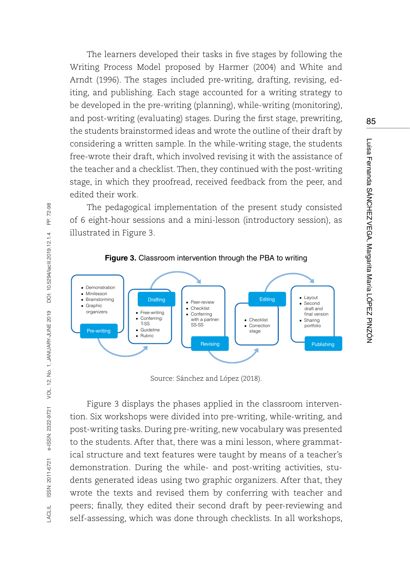The learners developed their tasks in five stages by following the Writing Process Model proposed by Harmer (2004) and White and Arndt (1996). The stages included pre-writing, drafting, revising, editing, and publishing. Each stage accounted for a writing strategy to be developed in the pre-writing (planning), while-writing (monitoring), and post-writing (evaluating) stages. During the first stage, prewriting, the students brainstormed ideas and wrote the outline of their draft by considering a written sample. In the while-writing stage, the students free-wrote their draft, which involved revising it with the assistance of the teacher and a checklist. Then, they continued with the post-writing stage, in which they proofread, received feedback from the peer, and edited their work.

The pedagogical implementation of the present study consisted of 6 eight-hour sessions and a mini-lesson (introductory session), as illustrated in Figure 3.



**Figure 3.** Classroom intervention through the PBA to writing

Source: Sánchez and López (2018).

Figure 3 displays the phases applied in the classroom intervention. Six workshops were divided into pre-writing, while-writing, and post-writing tasks. During pre-writing, new vocabulary was presented to the students. After that, there was a mini lesson, where grammatical structure and text features were taught by means of a teacher's demonstration. During the while- and post-writing activities, students generated ideas using two graphic organizers. After that, they wrote the texts and revised them by conferring with teacher and peers; finally, they edited their second draft by peer-reviewing and self-assessing, which was done through checklists. In all workshops,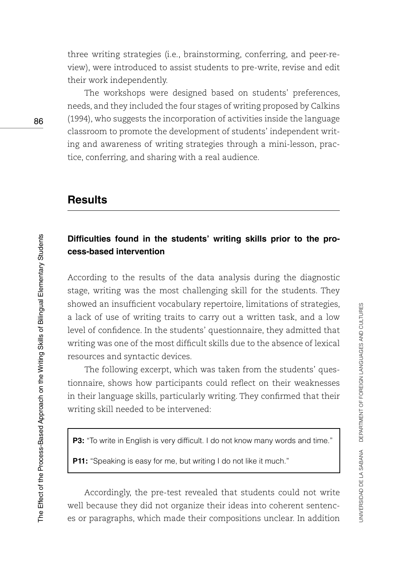three writing strategies (i.e., brainstorming, conferring, and peer-review), were introduced to assist students to pre-write, revise and edit their work independently.

The workshops were designed based on students' preferences, needs, and they included the four stages of writing proposed by Calkins (1994), who suggests the incorporation of activities inside the language classroom to promote the development of students' independent writing and awareness of writing strategies through a mini-lesson, practice, conferring, and sharing with a real audience.

### **Results**

### **Difficulties found in the students' writing skills prior to the process-based intervention**

According to the results of the data analysis during the diagnostic stage, writing was the most challenging skill for the students. They showed an insufficient vocabulary repertoire, limitations of strategies, a lack of use of writing traits to carry out a written task, and a low level of confidence. In the students' questionnaire, they admitted that writing was one of the most difficult skills due to the absence of lexical resources and syntactic devices.

The following excerpt, which was taken from the students' questionnaire, shows how participants could reflect on their weaknesses in their language skills, particularly writing. They confirmed that their writing skill needed to be intervened:

**P3:** "To write in English is very difficult. I do not know many words and time."

**P11:** "Speaking is easy for me, but writing I do not like it much."

Accordingly, the pre-test revealed that students could not write well because they did not organize their ideas into coherent sentences or paragraphs, which made their compositions unclear. In addition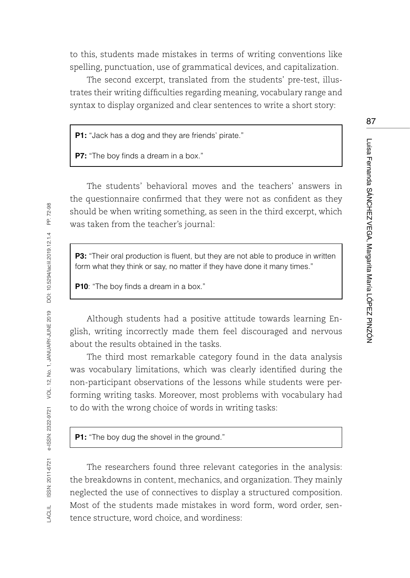to this, students made mistakes in terms of writing conventions like spelling, punctuation, use of grammatical devices, and capitalization.

The second excerpt, translated from the students' pre-test, illustrates their writing difficulties regarding meaning, vocabulary range and syntax to display organized and clear sentences to write a short story:

**P1:** "Jack has a dog and they are friends' pirate."

**P7:** "The boy finds a dream in a box."

The students' behavioral moves and the teachers' answers in the questionnaire confirmed that they were not as confident as they should be when writing something, as seen in the third excerpt, which was taken from the teacher's journal:

**P3:** "Their oral production is fluent, but they are not able to produce in written form what they think or say, no matter if they have done it many times."

**P10**: "The boy finds a dream in a box."

Although students had a positive attitude towards learning English, writing incorrectly made them feel discouraged and nervous about the results obtained in the tasks.

The third most remarkable category found in the data analysis was vocabulary limitations, which was clearly identified during the non-participant observations of the lessons while students were performing writing tasks. Moreover, most problems with vocabulary had to do with the wrong choice of words in writing tasks:

**P1:** "The boy dug the shovel in the ground."

The researchers found three relevant categories in the analysis: the breakdowns in content, mechanics, and organization. They mainly neglected the use of connectives to display a structured composition. Most of the students made mistakes in word form, word order, sentence structure, word choice, and wordiness: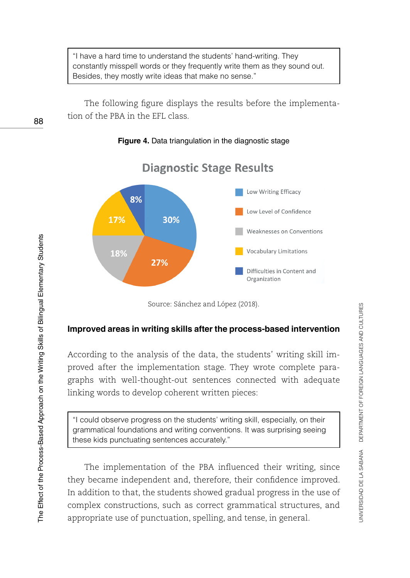"I have a hard time to understand the students' hand-writing. They constantly misspell words or they frequently write them as they sound out. Besides, they mostly write ideas that make no sense."

The following figure displays the results before the implementation of the PBA in the EFL class.

#### **Figure 4.** Data triangulation in the diagnostic stage



# **Diagnostic Stage Results**

Source: Sánchez and López (2018).

#### **Improved areas in writing skills after the process-based intervention**

According to the analysis of the data, the students' writing skill improved after the implementation stage. They wrote complete paragraphs with well-thought-out sentences connected with adequate linking words to develop coherent written pieces:

"I could observe progress on the students' writing skill, especially, on their grammatical foundations and writing conventions. It was surprising seeing these kids punctuating sentences accurately."

The implementation of the PBA influenced their writing, since they became independent and, therefore, their confidence improved. In addition to that, the students showed gradual progress in the use of complex constructions, such as correct grammatical structures, and appropriate use of punctuation, spelling, and tense, in general.

88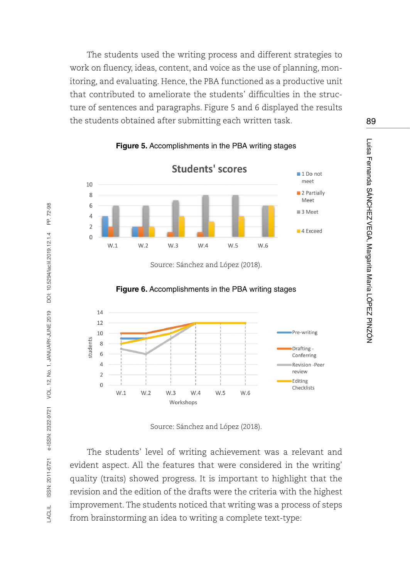The students used the writing process and different strategies to work on fluency, ideas, content, and voice as the use of planning, monitoring, and evaluating. Hence, the PBA functioned as a productive unit that contributed to ameliorate the students' difficulties in the structure of sentences and paragraphs. Figure 5 and 6 displayed the results the students obtained after submitting each written task.



**Figure 5.** Accomplishments in the PBA writing stages

Source: Sánchez and López (2018).



**Figure 6.** Accomplishments in the PBA writing stages

Source: Sánchez and López (2018).

The students' level of writing achievement was a relevant and evident aspect. All the features that were considered in the writing' quality (traits) showed progress. It is important to highlight that the revision and the edition of the drafts were the criteria with the highest improvement. The students noticed that writing was a process of steps from brainstorming an idea to writing a complete text-type: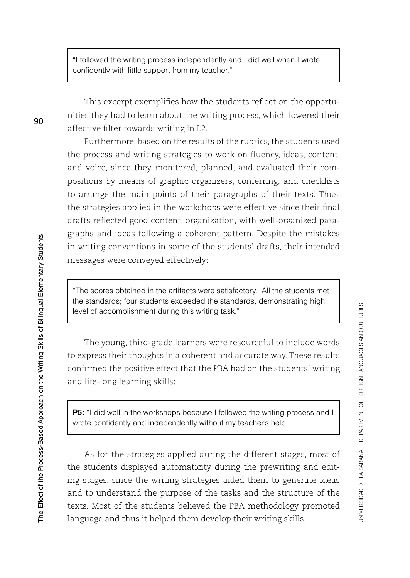"I followed the writing process independently and I did well when I wrote confidently with little support from my teacher."

This excerpt exemplifies how the students reflect on the opportunities they had to learn about the writing process, which lowered their affective filter towards writing in L2.

Furthermore, based on the results of the rubrics, the students used the process and writing strategies to work on fluency, ideas, content, and voice, since they monitored, planned, and evaluated their compositions by means of graphic organizers, conferring, and checklists to arrange the main points of their paragraphs of their texts. Thus, the strategies applied in the workshops were effective since their final drafts reflected good content, organization, with well-organized paragraphs and ideas following a coherent pattern. Despite the mistakes in writing conventions in some of the students' drafts, their intended messages were conveyed effectively:

"The scores obtained in the artifacts were satisfactory. All the students met the standards; four students exceeded the standards, demonstrating high level of accomplishment during this writing task."

The young, third-grade learners were resourceful to include words to express their thoughts in a coherent and accurate way. These results confirmed the positive effect that the PBA had on the students' writing and life-long learning skills:

**P5:** "I did well in the workshops because I followed the writing process and I wrote confidently and independently without my teacher's help."

As for the strategies applied during the different stages, most of the students displayed automaticity during the prewriting and editing stages, since the writing strategies aided them to generate ideas and to understand the purpose of the tasks and the structure of the texts. Most of the students believed the PBA methodology promoted language and thus it helped them develop their writing skills.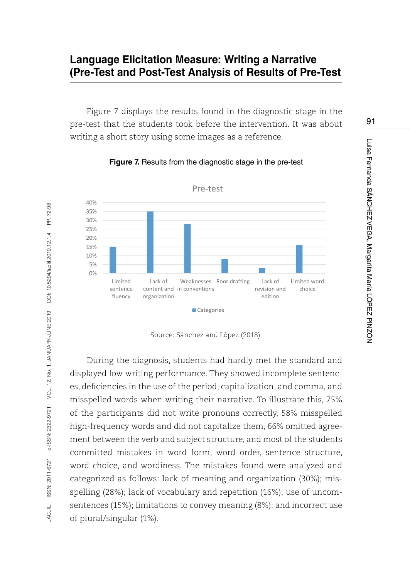# **Language Elicitation Measure: Writing a Narrative (Pre-Test and Post-Test Analysis of Results of Pre-Test**

Figure 7 displays the results found in the diagnostic stage in the pre-test that the students took before the intervention. It was about writing a short story using some images as a reference.



**Figure 7.** Results from the diagnostic stage in the pre-test

Source: Sánchez and López (2018).

During the diagnosis, students had hardly met the standard and displayed low writing performance. They showed incomplete sentences, deficiencies in the use of the period, capitalization, and comma, and misspelled words when writing their narrative. To illustrate this, 75% of the participants did not write pronouns correctly, 58% misspelled high-frequency words and did not capitalize them, 66% omitted agreement between the verb and subject structure, and most of the students committed mistakes in word form, word order, sentence structure, word choice, and wordiness. The mistakes found were analyzed and categorized as follows: lack of meaning and organization (30%); misspelling (28%); lack of vocabulary and repetition (16%); use of uncomsentences (15%); limitations to convey meaning (8%); and incorrect use of plural/singular (1%).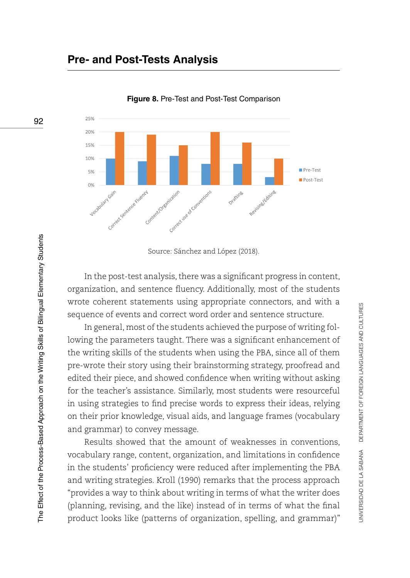# **Pre- and Post-Tests Analysis**



**Figure 8.** Pre-Test and Post-Test Comparison

In the post-test analysis, there was a significant progress in content, organization, and sentence fluency. Additionally, most of the students wrote coherent statements using appropriate connectors, and with a sequence of events and correct word order and sentence structure.

In general, most of the students achieved the purpose of writing following the parameters taught. There was a significant enhancement of the writing skills of the students when using the PBA, since all of them pre-wrote their story using their brainstorming strategy, proofread and edited their piece, and showed confidence when writing without asking for the teacher's assistance. Similarly, most students were resourceful in using strategies to find precise words to express their ideas, relying on their prior knowledge, visual aids, and language frames (vocabulary and grammar) to convey message.

Results showed that the amount of weaknesses in conventions, vocabulary range, content, organization, and limitations in confidence in the students' proficiency were reduced after implementing the PBA and writing strategies. Kroll (1990) remarks that the process approach "provides a way to think about writing in terms of what the writer does (planning, revising, and the like) instead of in terms of what the final product looks like (patterns of organization, spelling, and grammar)"

Source: Sánchez and López (2018).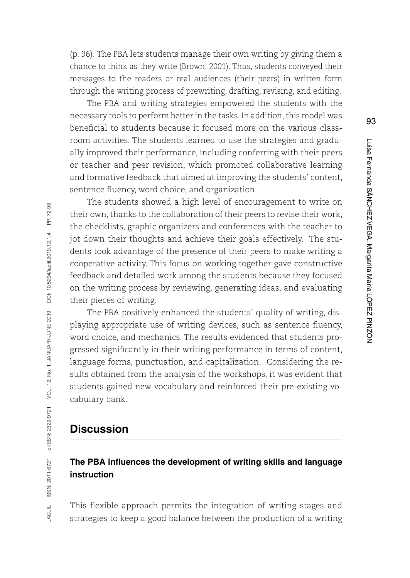(p. 96). The PBA lets students manage their own writing by giving them a chance to think as they write (Brown, 2001). Thus, students conveyed their messages to the readers or real audiences (their peers) in written form through the writing process of prewriting, drafting, revising, and editing.

The PBA and writing strategies empowered the students with the necessary tools to perform better in the tasks. In addition, this model was beneficial to students because it focused more on the various classroom activities. The students learned to use the strategies and gradually improved their performance, including conferring with their peers or teacher and peer revision, which promoted collaborative learning and formative feedback that aimed at improving the students' content, sentence fluency, word choice, and organization.

The students showed a high level of encouragement to write on their own, thanks to the collaboration of their peers to revise their work, the checklists, graphic organizers and conferences with the teacher to jot down their thoughts and achieve their goals effectively. The students took advantage of the presence of their peers to make writing a cooperative activity. This focus on working together gave constructive feedback and detailed work among the students because they focused on the writing process by reviewing, generating ideas, and evaluating their pieces of writing.

The PBA positively enhanced the students' quality of writing, displaying appropriate use of writing devices, such as sentence fluency, word choice, and mechanics. The results evidenced that students progressed significantly in their writing performance in terms of content, language forms, punctuation, and capitalization. Considering the results obtained from the analysis of the workshops, it was evident that students gained new vocabulary and reinforced their pre-existing vocabulary bank.

### **Discussion**

### **The PBA influences the development of writing skills and language instruction**

This flexible approach permits the integration of writing stages and strategies to keep a good balance between the production of a writing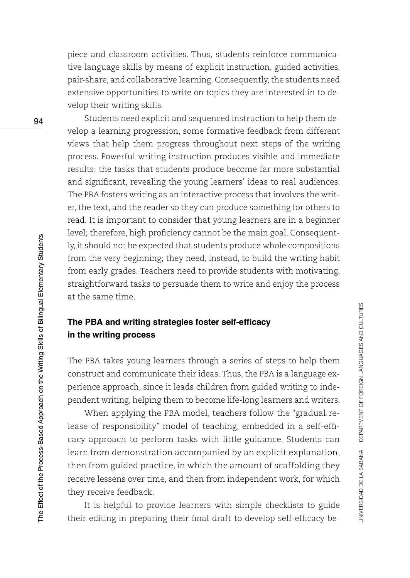piece and classroom activities. Thus, students reinforce communicative language skills by means of explicit instruction, guided activities, pair-share, and collaborative learning. Consequently, the students need extensive opportunities to write on topics they are interested in to develop their writing skills.

Students need explicit and sequenced instruction to help them develop a learning progression, some formative feedback from different views that help them progress throughout next steps of the writing process. Powerful writing instruction produces visible and immediate results; the tasks that students produce become far more substantial and significant, revealing the young learners' ideas to real audiences. The PBA fosters writing as an interactive process that involves the writer, the text, and the reader so they can produce something for others to read. It is important to consider that young learners are in a beginner level; therefore, high proficiency cannot be the main goal. Consequently, it should not be expected that students produce whole compositions from the very beginning; they need, instead, to build the writing habit from early grades. Teachers need to provide students with motivating, straightforward tasks to persuade them to write and enjoy the process at the same time.

### **The PBA and writing strategies foster self-efficacy in the writing process**

The PBA takes young learners through a series of steps to help them construct and communicate their ideas. Thus, the PBA is a language experience approach, since it leads children from guided writing to independent writing, helping them to become life-long learners and writers.

When applying the PBA model, teachers follow the "gradual release of responsibility" model of teaching, embedded in a self-efficacy approach to perform tasks with little guidance. Students can learn from demonstration accompanied by an explicit explanation, then from guided practice, in which the amount of scaffolding they receive lessens over time, and then from independent work, for which they receive feedback.

It is helpful to provide learners with simple checklists to guide their editing in preparing their final draft to develop self-efficacy be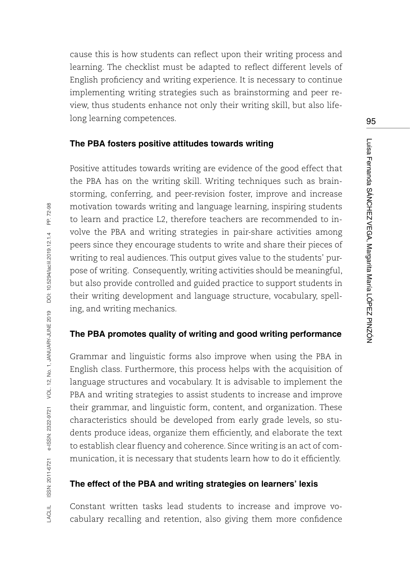cause this is how students can reflect upon their writing process and learning. The checklist must be adapted to reflect different levels of English proficiency and writing experience. It is necessary to continue implementing writing strategies such as brainstorming and peer review, thus students enhance not only their writing skill, but also lifelong learning competences.

### **The PBA fosters positive attitudes towards writing**

Positive attitudes towards writing are evidence of the good effect that the PBA has on the writing skill. Writing techniques such as brainstorming, conferring, and peer-revision foster, improve and increase motivation towards writing and language learning, inspiring students to learn and practice L2, therefore teachers are recommended to involve the PBA and writing strategies in pair-share activities among peers since they encourage students to write and share their pieces of writing to real audiences. This output gives value to the students' purpose of writing. Consequently, writing activities should be meaningful, but also provide controlled and guided practice to support students in their writing development and language structure, vocabulary, spelling, and writing mechanics.

### **The PBA promotes quality of writing and good writing performance**

Grammar and linguistic forms also improve when using the PBA in English class. Furthermore, this process helps with the acquisition of language structures and vocabulary. It is advisable to implement the PBA and writing strategies to assist students to increase and improve their grammar, and linguistic form, content, and organization. These characteristics should be developed from early grade levels, so students produce ideas, organize them efficiently, and elaborate the text to establish clear fluency and coherence. Since writing is an act of communication, it is necessary that students learn how to do it efficiently.

### **The effect of the PBA and writing strategies on learners' lexis**

Constant written tasks lead students to increase and improve vocabulary recalling and retention, also giving them more confidence 95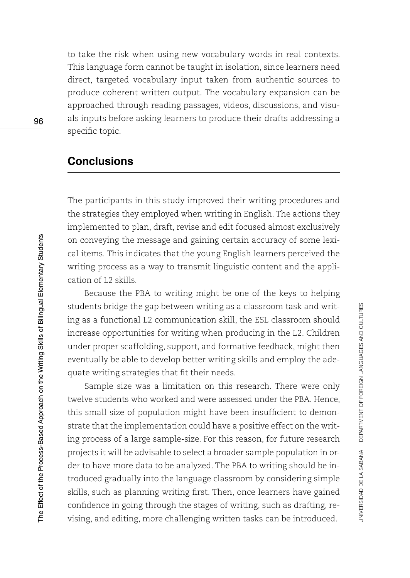to take the risk when using new vocabulary words in real contexts. This language form cannot be taught in isolation, since learners need direct, targeted vocabulary input taken from authentic sources to produce coherent written output. The vocabulary expansion can be approached through reading passages, videos, discussions, and visuals inputs before asking learners to produce their drafts addressing a specific topic.

# **Conclusions**

The participants in this study improved their writing procedures and the strategies they employed when writing in English. The actions they implemented to plan, draft, revise and edit focused almost exclusively on conveying the message and gaining certain accuracy of some lexical items. This indicates that the young English learners perceived the writing process as a way to transmit linguistic content and the application of L2 skills.

Because the PBA to writing might be one of the keys to helping students bridge the gap between writing as a classroom task and writing as a functional L2 communication skill, the ESL classroom should increase opportunities for writing when producing in the L2. Children under proper scaffolding, support, and formative feedback, might then eventually be able to develop better writing skills and employ the adequate writing strategies that fit their needs.

Sample size was a limitation on this research. There were only twelve students who worked and were assessed under the PBA. Hence, this small size of population might have been insufficient to demonstrate that the implementation could have a positive effect on the writing process of a large sample-size. For this reason, for future research projects it will be advisable to select a broader sample population in order to have more data to be analyzed. The PBA to writing should be introduced gradually into the language classroom by considering simple skills, such as planning writing first. Then, once learners have gained confidence in going through the stages of writing, such as drafting, revising, and editing, more challenging written tasks can be introduced.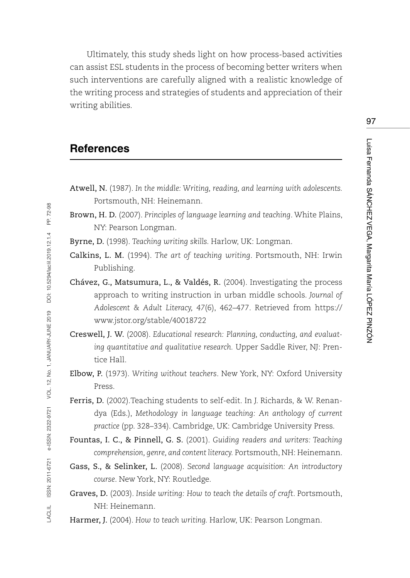Ultimately, this study sheds light on how process-based activities can assist ESL students in the process of becoming better writers when such interventions are carefully aligned with a realistic knowledge of the writing process and strategies of students and appreciation of their writing abilities.

### **References**

LACLIL ISSN: 2011-6721 e-ISSN: 2322-9721 VOL. 12, No. 1, JANUARY-JUNE 2019 DOI: [10.5294/laclil.2019.12.1.4](https://doi.org/10.5294/laclil.2019.12.1.4) PP. 72-98

e-ISSN: 2322-9721 VOL. 12, No. 1, JANUARY-JUNE 2019

ISSN: 2011-6721

LACLIL

72-98 £.

DOI: 10.5294/laciil.2019.12.1.4

- Atwell, N. (1987). *In the middle: Writing, reading, and learning with adolescents.*  Portsmouth, NH: Heinemann.
- Brown, H. D. (2007). *Principles of language learning and teaching*. White Plains, NY: Pearson Longman.
- Byrne, D. (1998). *Teaching writing skills.* Harlow, UK: Longman.
- Calkins, L. M. (1994). *The art of teaching writing*. Portsmouth, NH: Irwin Publishing.
- Chávez, G., Matsumura, L., & Valdés, R. (2004). Investigating the process approach to writing instruction in urban middle schools. *Journal of Adolescent & Adult Literacy, 47*(6), 462–477. Retrieved from [https://](https://www.jstor.org/stable/40018722) [www.jstor.org/stable/40018722](https://www.jstor.org/stable/40018722)
- Creswell, J. W. (2008). *Educational research: Planning, conducting, and evaluating quantitative and qualitative research.* Upper Saddle River, NJ: Prentice Hall.
- Elbow, P. (1973). *Writing without teachers*. New York, NY: Oxford University Press.
- Ferris, D. (2002).Teaching students to self-edit. In J. Richards, & W. Renandya (Eds.), *Methodology in language teaching: An anthology of current practice* (pp. 328–334). Cambridge, UK: Cambridge University Press.
- Fountas, I. C., & Pinnell, G. S. (2001). *Guiding readers and writers: Teaching comprehension, genre, and content literacy.* Portsmouth, NH: Heinemann.
- Gass, S., & Selinker, L. (2008). *Second language acquisition: An introductory course*. New York, NY: Routledge.
- Graves, D. (2003). *Inside writing: How to teach the details of craft*. Portsmouth, NH: Heinemann.

Harmer, J. (2004). *How to teach writing.* Harlow, UK: Pearson Longman.